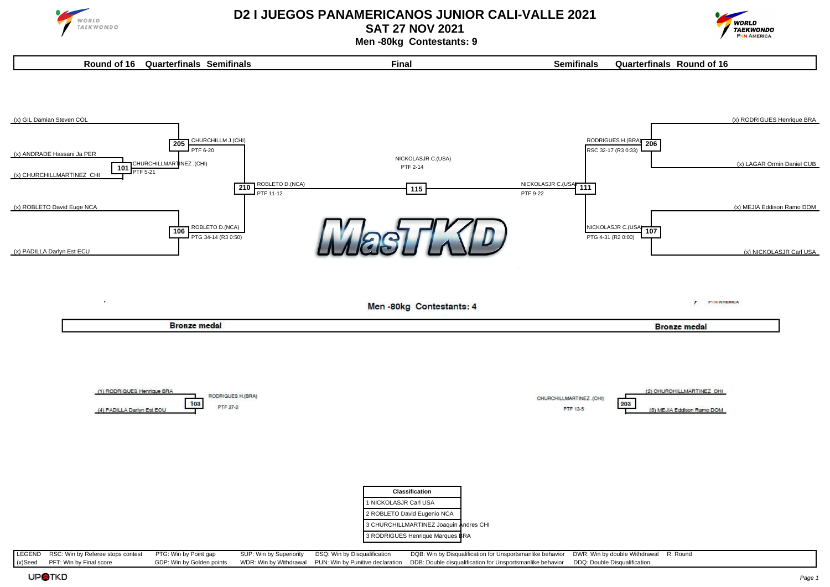

**SAT 27 NOV 2021**



 **Men -80kg Contestants: 9**



LEGEND RSC: Win by Referee stops contest PTG: Win by Point gap SUP: Win by Superiority DSQ: Win by Disqualification DQB: Win by Disqualification for Unsportsmanlike behavior DWR: Win by double Withdrawal R: Round (x)Seed PFT: Win by Final score GDP: Win by Golden points WDR: Win by Withdrawal PUN: Win by Punitive declaration DDB: Double disqualification for Unsportsmanlike behavior DDQ: Double Disqualification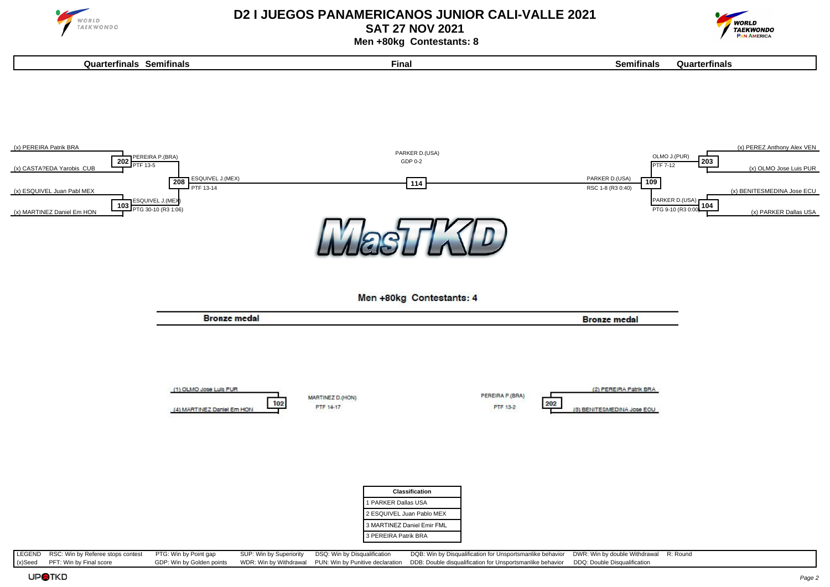

**SAT 27 NOV 2021**



 **Men +80kg Contestants: 8**



LEGEND RSC: Win by Referee stops contest PTG: Win by Point gap SUP: Win by Superiority DSQ: Win by Disqualification DQB: Win by Disqualification for Unsportsmanlike behavior DWR: Win by double Withdrawal R: Round (x)Seed PFT: Win by Final score GDP: Win by Golden points WDR: Win by Withdrawal PUN: Win by Punitive declaration DDB: Double disqualification for Unsportsmanlike behavior DDQ: Double Disqualification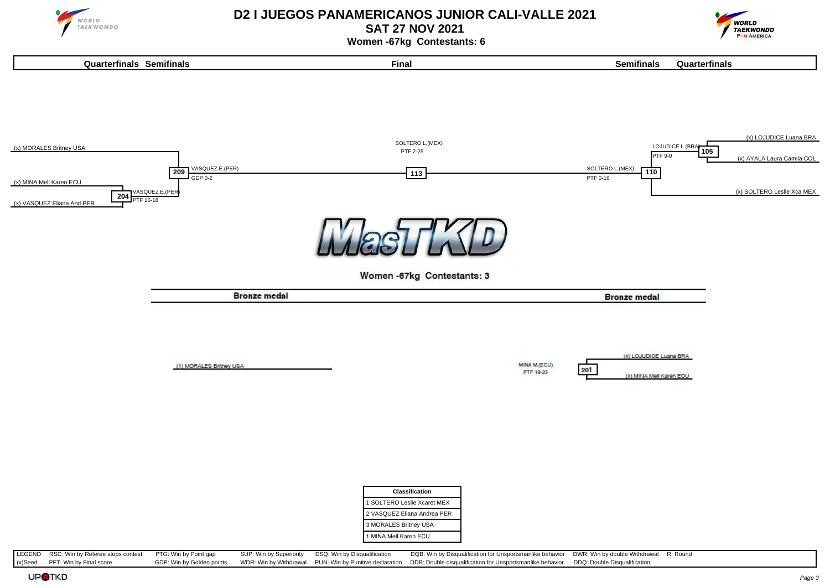

**SAT 27 NOV 2021**



 **Women -67kg Contestants: 6**



(x)Seed PFT: Win by Final score GDP: Win by Golden points WDR: Win by Withdrawal PUN: Win by Punitive declaration DDB: Double disqualification for Unsportsmanlike behavior DDQ: Double Disqualification